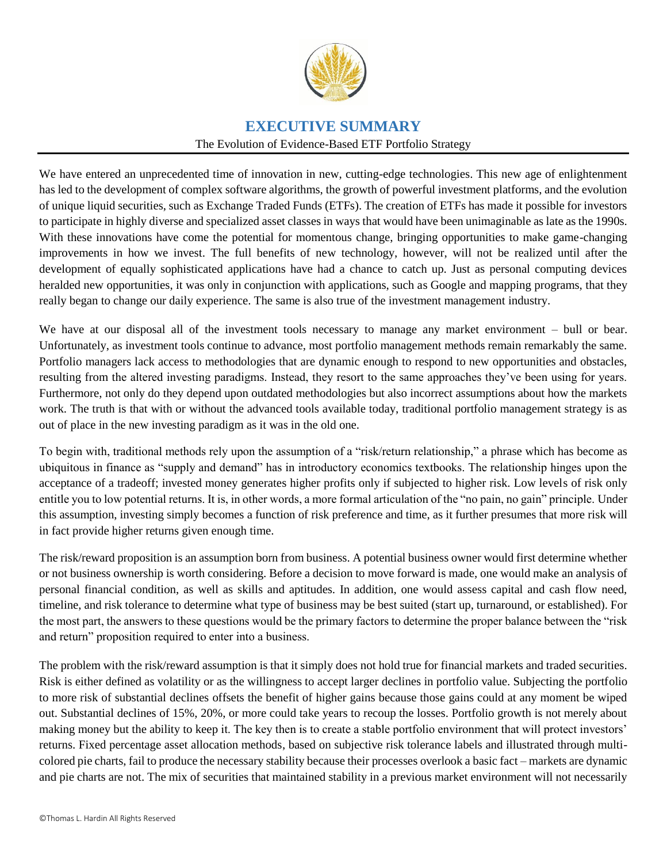

# **EXECUTIVE SUMMARY**

#### The Evolution of Evidence-Based ETF Portfolio Strategy

We have entered an unprecedented time of innovation in new, cutting-edge technologies. This new age of enlightenment has led to the development of complex software algorithms, the growth of powerful investment platforms, and the evolution of unique liquid securities, such as Exchange Traded Funds (ETFs). The creation of ETFs has made it possible for investors to participate in highly diverse and specialized asset classes in ways that would have been unimaginable as late as the 1990s. With these innovations have come the potential for momentous change, bringing opportunities to make game-changing improvements in how we invest. The full benefits of new technology, however, will not be realized until after the development of equally sophisticated applications have had a chance to catch up. Just as personal computing devices heralded new opportunities, it was only in conjunction with applications, such as Google and mapping programs, that they really began to change our daily experience. The same is also true of the investment management industry.

We have at our disposal all of the investment tools necessary to manage any market environment – bull or bear. Unfortunately, as investment tools continue to advance, most portfolio management methods remain remarkably the same. Portfolio managers lack access to methodologies that are dynamic enough to respond to new opportunities and obstacles, resulting from the altered investing paradigms. Instead, they resort to the same approaches they've been using for years. Furthermore, not only do they depend upon outdated methodologies but also incorrect assumptions about how the markets work. The truth is that with or without the advanced tools available today, traditional portfolio management strategy is as out of place in the new investing paradigm as it was in the old one.

To begin with, traditional methods rely upon the assumption of a "risk/return relationship," a phrase which has become as ubiquitous in finance as "supply and demand" has in introductory economics textbooks. The relationship hinges upon the acceptance of a tradeoff; invested money generates higher profits only if subjected to higher risk. Low levels of risk only entitle you to low potential returns. It is, in other words, a more formal articulation of the "no pain, no gain" principle. Under this assumption, investing simply becomes a function of risk preference and time, as it further presumes that more risk will in fact provide higher returns given enough time.

The risk/reward proposition is an assumption born from business. A potential business owner would first determine whether or not business ownership is worth considering. Before a decision to move forward is made, one would make an analysis of personal financial condition, as well as skills and aptitudes. In addition, one would assess capital and cash flow need, timeline, and risk tolerance to determine what type of business may be best suited (start up, turnaround, or established). For the most part, the answers to these questions would be the primary factors to determine the proper balance between the "risk and return" proposition required to enter into a business.

The problem with the risk/reward assumption is that it simply does not hold true for financial markets and traded securities. Risk is either defined as volatility or as the willingness to accept larger declines in portfolio value. Subjecting the portfolio to more risk of substantial declines offsets the benefit of higher gains because those gains could at any moment be wiped out. Substantial declines of 15%, 20%, or more could take years to recoup the losses. Portfolio growth is not merely about making money but the ability to keep it. The key then is to create a stable portfolio environment that will protect investors' returns. Fixed percentage asset allocation methods, based on subjective risk tolerance labels and illustrated through multicolored pie charts, fail to produce the necessary stability because their processes overlook a basic fact – markets are dynamic and pie charts are not. The mix of securities that maintained stability in a previous market environment will not necessarily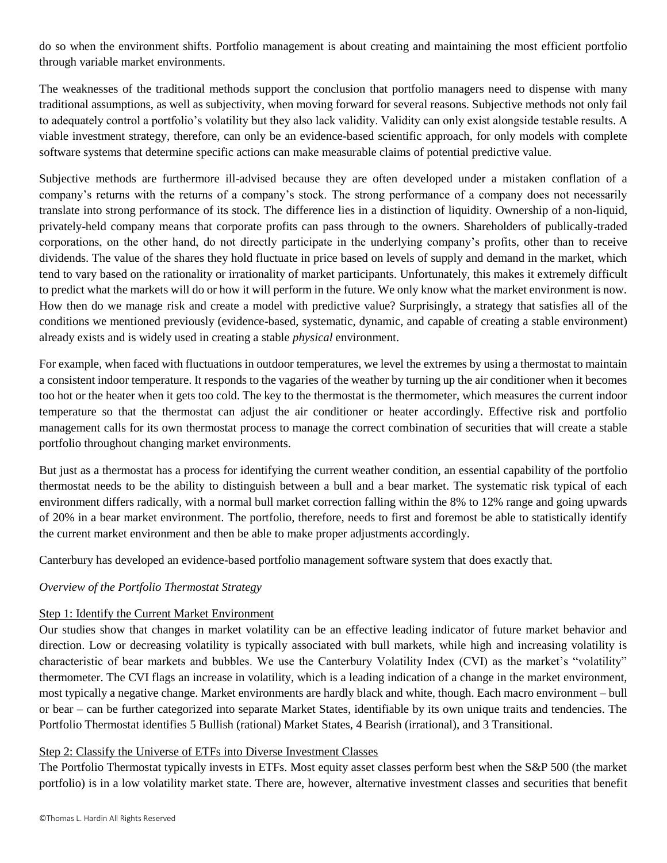do so when the environment shifts. Portfolio management is about creating and maintaining the most efficient portfolio through variable market environments.

The weaknesses of the traditional methods support the conclusion that portfolio managers need to dispense with many traditional assumptions, as well as subjectivity, when moving forward for several reasons. Subjective methods not only fail to adequately control a portfolio's volatility but they also lack validity. Validity can only exist alongside testable results. A viable investment strategy, therefore, can only be an evidence-based scientific approach, for only models with complete software systems that determine specific actions can make measurable claims of potential predictive value.

Subjective methods are furthermore ill-advised because they are often developed under a mistaken conflation of a company's returns with the returns of a company's stock. The strong performance of a company does not necessarily translate into strong performance of its stock. The difference lies in a distinction of liquidity. Ownership of a non-liquid, privately-held company means that corporate profits can pass through to the owners. Shareholders of publically-traded corporations, on the other hand, do not directly participate in the underlying company's profits, other than to receive dividends. The value of the shares they hold fluctuate in price based on levels of supply and demand in the market, which tend to vary based on the rationality or irrationality of market participants. Unfortunately, this makes it extremely difficult to predict what the markets will do or how it will perform in the future. We only know what the market environment is now. How then do we manage risk and create a model with predictive value? Surprisingly, a strategy that satisfies all of the conditions we mentioned previously (evidence-based, systematic, dynamic, and capable of creating a stable environment) already exists and is widely used in creating a stable *physical* environment.

For example, when faced with fluctuations in outdoor temperatures, we level the extremes by using a thermostat to maintain a consistent indoor temperature. It responds to the vagaries of the weather by turning up the air conditioner when it becomes too hot or the heater when it gets too cold. The key to the thermostat is the thermometer, which measures the current indoor temperature so that the thermostat can adjust the air conditioner or heater accordingly. Effective risk and portfolio management calls for its own thermostat process to manage the correct combination of securities that will create a stable portfolio throughout changing market environments.

But just as a thermostat has a process for identifying the current weather condition, an essential capability of the portfolio thermostat needs to be the ability to distinguish between a bull and a bear market. The systematic risk typical of each environment differs radically, with a normal bull market correction falling within the 8% to 12% range and going upwards of 20% in a bear market environment. The portfolio, therefore, needs to first and foremost be able to statistically identify the current market environment and then be able to make proper adjustments accordingly.

Canterbury has developed an evidence-based portfolio management software system that does exactly that.

## *Overview of the Portfolio Thermostat Strategy*

## Step 1: Identify the Current Market Environment

Our studies show that changes in market volatility can be an effective leading indicator of future market behavior and direction. Low or decreasing volatility is typically associated with bull markets, while high and increasing volatility is characteristic of bear markets and bubbles. We use the Canterbury Volatility Index (CVI) as the market's "volatility" thermometer. The CVI flags an increase in volatility, which is a leading indication of a change in the market environment, most typically a negative change. Market environments are hardly black and white, though. Each macro environment – bull or bear – can be further categorized into separate Market States, identifiable by its own unique traits and tendencies. The Portfolio Thermostat identifies 5 Bullish (rational) Market States, 4 Bearish (irrational), and 3 Transitional.

#### Step 2: Classify the Universe of ETFs into Diverse Investment Classes

The Portfolio Thermostat typically invests in ETFs. Most equity asset classes perform best when the S&P 500 (the market portfolio) is in a low volatility market state. There are, however, alternative investment classes and securities that benefit